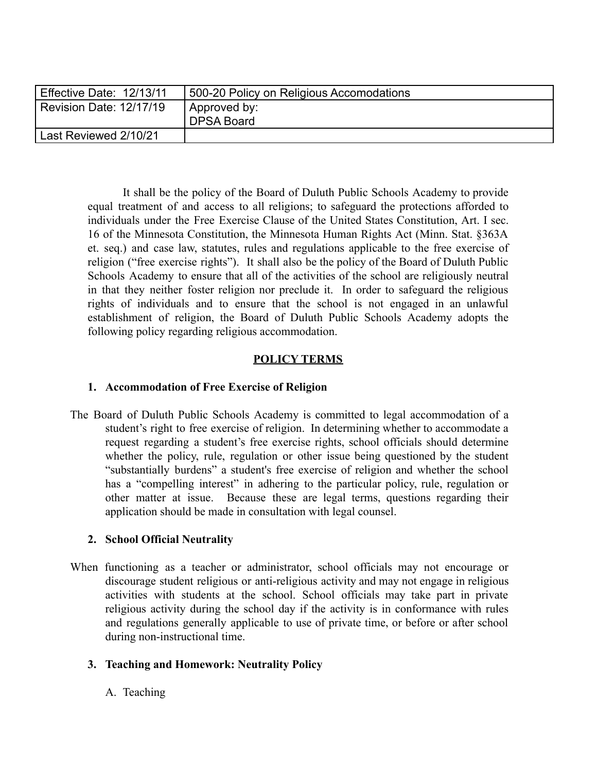| Effective Date: 12/13/11 | 500-20 Policy on Religious Accomodations |
|--------------------------|------------------------------------------|
| Revision Date: 12/17/19  | Approved by:<br>DPSA Board               |
|                          |                                          |
| Last Reviewed 2/10/21    |                                          |

It shall be the policy of the Board of Duluth Public Schools Academy to provide equal treatment of and access to all religions; to safeguard the protections afforded to individuals under the Free Exercise Clause of the United States Constitution, Art. I sec. 16 of the Minnesota Constitution, the Minnesota Human Rights Act (Minn. Stat. §363A et. seq.) and case law, statutes, rules and regulations applicable to the free exercise of religion ("free exercise rights"). It shall also be the policy of the Board of Duluth Public Schools Academy to ensure that all of the activities of the school are religiously neutral in that they neither foster religion nor preclude it. In order to safeguard the religious rights of individuals and to ensure that the school is not engaged in an unlawful establishment of religion, the Board of Duluth Public Schools Academy adopts the following policy regarding religious accommodation.

## **POLICY TERMS**

## **1. Accommodation of Free Exercise of Religion**

The Board of Duluth Public Schools Academy is committed to legal accommodation of a student's right to free exercise of religion. In determining whether to accommodate a request regarding a student's free exercise rights, school officials should determine whether the policy, rule, regulation or other issue being questioned by the student "substantially burdens" a student's free exercise of religion and whether the school has a "compelling interest" in adhering to the particular policy, rule, regulation or other matter at issue. Because these are legal terms, questions regarding their application should be made in consultation with legal counsel.

## **2. School Official Neutrality**

When functioning as a teacher or administrator, school officials may not encourage or discourage student religious or anti-religious activity and may not engage in religious activities with students at the school. School officials may take part in private religious activity during the school day if the activity is in conformance with rules and regulations generally applicable to use of private time, or before or after school during non-instructional time.

# **3. Teaching and Homework: Neutrality Policy**

A. Teaching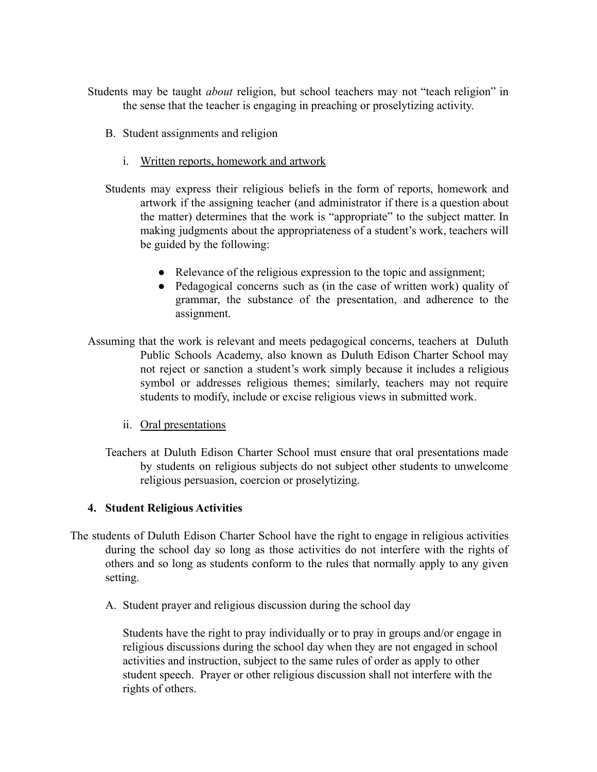- Students may be taught *about* religion, but school teachers may not "teach religion" in the sense that the teacher is engaging in preaching or proselytizing activity.
	- B. Student assignments and religion
		- i. Written reports, homework and artwork
	- Students may express their religious beliefs in the form of reports, homework and artwork if the assigning teacher (and administrator if there is a question about the matter) determines that the work is "appropriate" to the subject matter. In making judgments about the appropriateness of a student's work, teachers will be guided by the following:
		- Relevance of the religious expression to the topic and assignment;
		- Pedagogical concerns such as (in the case of written work) quality of grammar, the substance of the presentation, and adherence to the assignment.
- Assuming that the work is relevant and meets pedagogical concerns, teachers at Duluth Public Schools Academy, also known as Duluth Edison Charter School may not reject or sanction a student's work simply because it includes a religious symbol or addresses religious themes; similarly, teachers may not require students to modify, include or excise religious views in submitted work.
	- ii. Oral presentations
	- Teachers at Duluth Edison Charter School must ensure that oral presentations made by students on religious subjects do not subject other students to unwelcome religious persuasion, coercion or proselytizing.

## **4. Student Religious Activities**

- The students of Duluth Edison Charter School have the right to engage in religious activities during the school day so long as those activities do not interfere with the rights of others and so long as students conform to the rules that normally apply to any given setting.
	- A. Student prayer and religious discussion during the school day

Students have the right to pray individually or to pray in groups and/or engage in religious discussions during the school day when they are not engaged in school activities and instruction, subject to the same rules of order as apply to other student speech. Prayer or other religious discussion shall not interfere with the rights of others.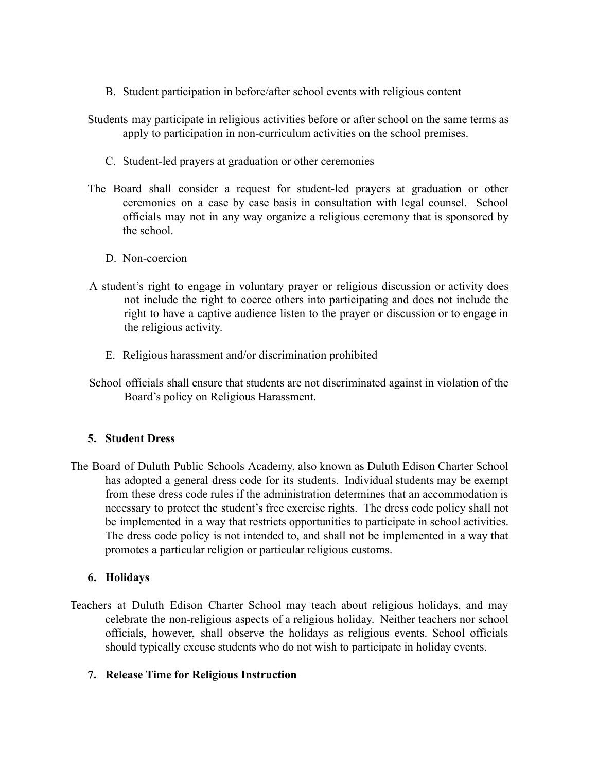- B. Student participation in before/after school events with religious content
- Students may participate in religious activities before or after school on the same terms as apply to participation in non-curriculum activities on the school premises.
	- C. Student-led prayers at graduation or other ceremonies
- The Board shall consider a request for student-led prayers at graduation or other ceremonies on a case by case basis in consultation with legal counsel. School officials may not in any way organize a religious ceremony that is sponsored by the school.
	- D. Non-coercion
- A student's right to engage in voluntary prayer or religious discussion or activity does not include the right to coerce others into participating and does not include the right to have a captive audience listen to the prayer or discussion or to engage in the religious activity.
	- E. Religious harassment and/or discrimination prohibited
- School officials shall ensure that students are not discriminated against in violation of the Board's policy on Religious Harassment.

## **5. Student Dress**

The Board of Duluth Public Schools Academy, also known as Duluth Edison Charter School has adopted a general dress code for its students. Individual students may be exempt from these dress code rules if the administration determines that an accommodation is necessary to protect the student's free exercise rights. The dress code policy shall not be implemented in a way that restricts opportunities to participate in school activities. The dress code policy is not intended to, and shall not be implemented in a way that promotes a particular religion or particular religious customs.

## **6. Holidays**

Teachers at Duluth Edison Charter School may teach about religious holidays, and may celebrate the non-religious aspects of a religious holiday. Neither teachers nor school officials, however, shall observe the holidays as religious events. School officials should typically excuse students who do not wish to participate in holiday events.

## **7. Release Time for Religious Instruction**